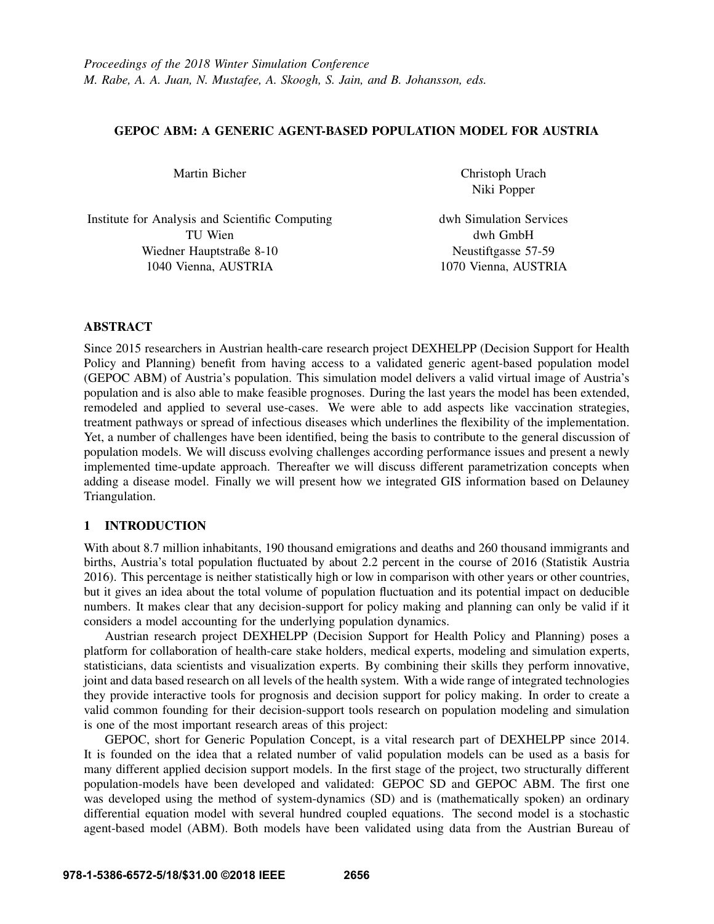# GEPOC ABM: A GENERIC AGENT-BASED POPULATION MODEL FOR AUSTRIA

Martin Bicher

Christoph Urach Niki Popper

Institute for Analysis and Scientific Computing TU Wien Wiedner Hauptstraße 8-10 1040 Vienna, AUSTRIA

dwh Simulation Services dwh GmbH Neustiftgasse 57-59 1070 Vienna, AUSTRIA

# ABSTRACT

Since 2015 researchers in Austrian health-care research project DEXHELPP (Decision Support for Health Policy and Planning) benefit from having access to a validated generic agent-based population model (GEPOC ABM) of Austria's population. This simulation model delivers a valid virtual image of Austria's population and is also able to make feasible prognoses. During the last years the model has been extended, remodeled and applied to several use-cases. We were able to add aspects like vaccination strategies, treatment pathways or spread of infectious diseases which underlines the flexibility of the implementation. Yet, a number of challenges have been identified, being the basis to contribute to the general discussion of population models. We will discuss evolving challenges according performance issues and present a newly implemented time-update approach. Thereafter we will discuss different parametrization concepts when adding a disease model. Finally we will present how we integrated GIS information based on Delauney Triangulation.

# 1 INTRODUCTION

With about 8.7 million inhabitants, 190 thousand emigrations and deaths and 260 thousand immigrants and births, Austria's total population fluctuated by about 2.2 percent in the course of 2016 (Statistik Austria 2016). This percentage is neither statistically high or low in comparison with other years or other countries, but it gives an idea about the total volume of population fluctuation and its potential impact on deducible numbers. It makes clear that any decision-support for policy making and planning can only be valid if it considers a model accounting for the underlying population dynamics.

Austrian research project DEXHELPP (Decision Support for Health Policy and Planning) poses a platform for collaboration of health-care stake holders, medical experts, modeling and simulation experts, statisticians, data scientists and visualization experts. By combining their skills they perform innovative, joint and data based research on all levels of the health system. With a wide range of integrated technologies they provide interactive tools for prognosis and decision support for policy making. In order to create a valid common founding for their decision-support tools research on population modeling and simulation is one of the most important research areas of this project:

GEPOC, short for Generic Population Concept, is a vital research part of DEXHELPP since 2014. It is founded on the idea that a related number of valid population models can be used as a basis for many different applied decision support models. In the first stage of the project, two structurally different population-models have been developed and validated: GEPOC SD and GEPOC ABM. The first one was developed using the method of system-dynamics (SD) and is (mathematically spoken) an ordinary differential equation model with several hundred coupled equations. The second model is a stochastic agent-based model (ABM). Both models have been validated using data from the Austrian Bureau of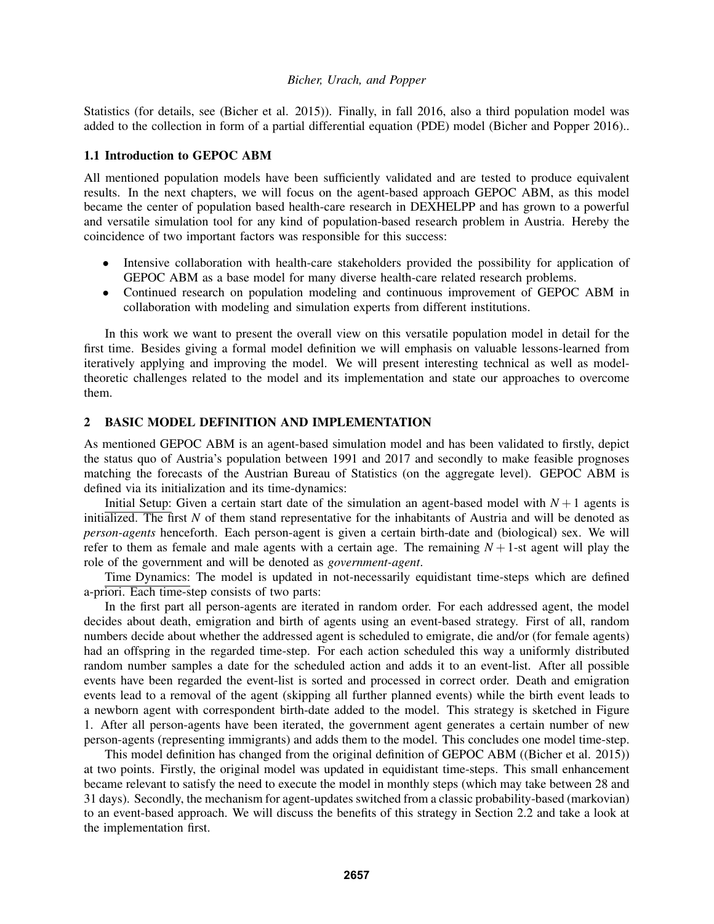Statistics (for details, see (Bicher et al. 2015)). Finally, in fall 2016, also a third population model was added to the collection in form of a partial differential equation (PDE) model (Bicher and Popper 2016)..

#### 1.1 Introduction to GEPOC ABM

All mentioned population models have been sufficiently validated and are tested to produce equivalent results. In the next chapters, we will focus on the agent-based approach GEPOC ABM, as this model became the center of population based health-care research in DEXHELPP and has grown to a powerful and versatile simulation tool for any kind of population-based research problem in Austria. Hereby the coincidence of two important factors was responsible for this success:

- Intensive collaboration with health-care stakeholders provided the possibility for application of GEPOC ABM as a base model for many diverse health-care related research problems.
- Continued research on population modeling and continuous improvement of GEPOC ABM in collaboration with modeling and simulation experts from different institutions.

In this work we want to present the overall view on this versatile population model in detail for the first time. Besides giving a formal model definition we will emphasis on valuable lessons-learned from iteratively applying and improving the model. We will present interesting technical as well as modeltheoretic challenges related to the model and its implementation and state our approaches to overcome them.

# 2 BASIC MODEL DEFINITION AND IMPLEMENTATION

As mentioned GEPOC ABM is an agent-based simulation model and has been validated to firstly, depict the status quo of Austria's population between 1991 and 2017 and secondly to make feasible prognoses matching the forecasts of the Austrian Bureau of Statistics (on the aggregate level). GEPOC ABM is defined via its initialization and its time-dynamics:

Initial Setup: Given a certain start date of the simulation an agent-based model with  $N+1$  agents is initialized. The first *N* of them stand representative for the inhabitants of Austria and will be denoted as *person-agents* henceforth. Each person-agent is given a certain birth-date and (biological) sex. We will refer to them as female and male agents with a certain age. The remaining  $N + 1$ -st agent will play the role of the government and will be denoted as *government-agent*.

Time Dynamics: The model is updated in not-necessarily equidistant time-steps which are defined a-priori. Each time-step consists of two parts:

In the first part all person-agents are iterated in random order. For each addressed agent, the model decides about death, emigration and birth of agents using an event-based strategy. First of all, random numbers decide about whether the addressed agent is scheduled to emigrate, die and/or (for female agents) had an offspring in the regarded time-step. For each action scheduled this way a uniformly distributed random number samples a date for the scheduled action and adds it to an event-list. After all possible events have been regarded the event-list is sorted and processed in correct order. Death and emigration events lead to a removal of the agent (skipping all further planned events) while the birth event leads to a newborn agent with correspondent birth-date added to the model. This strategy is sketched in Figure 1. After all person-agents have been iterated, the government agent generates a certain number of new person-agents (representing immigrants) and adds them to the model. This concludes one model time-step.

This model definition has changed from the original definition of GEPOC ABM ((Bicher et al. 2015)) at two points. Firstly, the original model was updated in equidistant time-steps. This small enhancement became relevant to satisfy the need to execute the model in monthly steps (which may take between 28 and 31 days). Secondly, the mechanism for agent-updates switched from a classic probability-based (markovian) to an event-based approach. We will discuss the benefits of this strategy in Section 2.2 and take a look at the implementation first.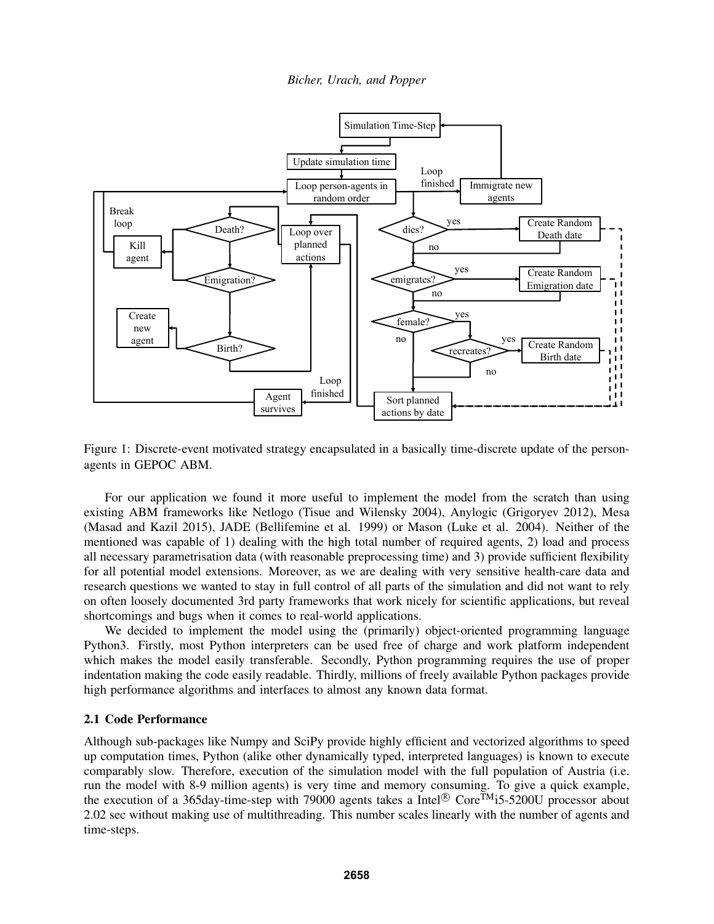

Figure 1: Discrete-event motivated strategy encapsulated in a basically time-discrete update of the personagents in GEPOC ABM.

For our application we found it more useful to implement the model from the scratch than using existing ABM frameworks like Netlogo (Tisue and Wilensky 2004), Anylogic (Grigoryev 2012), Mesa (Masad and Kazil 2015), JADE (Bellifemine et al. 1999) or Mason (Luke et al. 2004). Neither of the mentioned was capable of 1) dealing with the high total number of required agents, 2) load and process all necessary parametrisation data (with reasonable preprocessing time) and 3) provide sufficient flexibility for all potential model extensions. Moreover, as we are dealing with very sensitive health-care data and research questions we wanted to stay in full control of all parts of the simulation and did not want to rely on often loosely documented 3rd party frameworks that work nicely for scientific applications, but reveal shortcomings and bugs when it comes to real-world applications.

We decided to implement the model using the (primarily) object-oriented programming language Python3. Firstly, most Python interpreters can be used free of charge and work platform independent which makes the model easily transferable. Secondly, Python programming requires the use of proper indentation making the code easily readable. Thirdly, millions of freely available Python packages provide high performance algorithms and interfaces to almost any known data format.

# 2.1 Code Performance

Although sub-packages like Numpy and SciPy provide highly efficient and vectorized algorithms to speed up computation times, Python (alike other dynamically typed, interpreted languages) is known to execute comparably slow. Therefore, execution of the simulation model with the full population of Austria (i.e. run the model with 8-9 million agents) is very time and memory consuming. To give a quick example, the execution of a 365day-time-step with 79000 agents takes a Intel<sup>®</sup> Core<sup>TM</sup>i5-5200U processor about 2.02 sec without making use of multithreading. This number scales linearly with the number of agents and time-steps.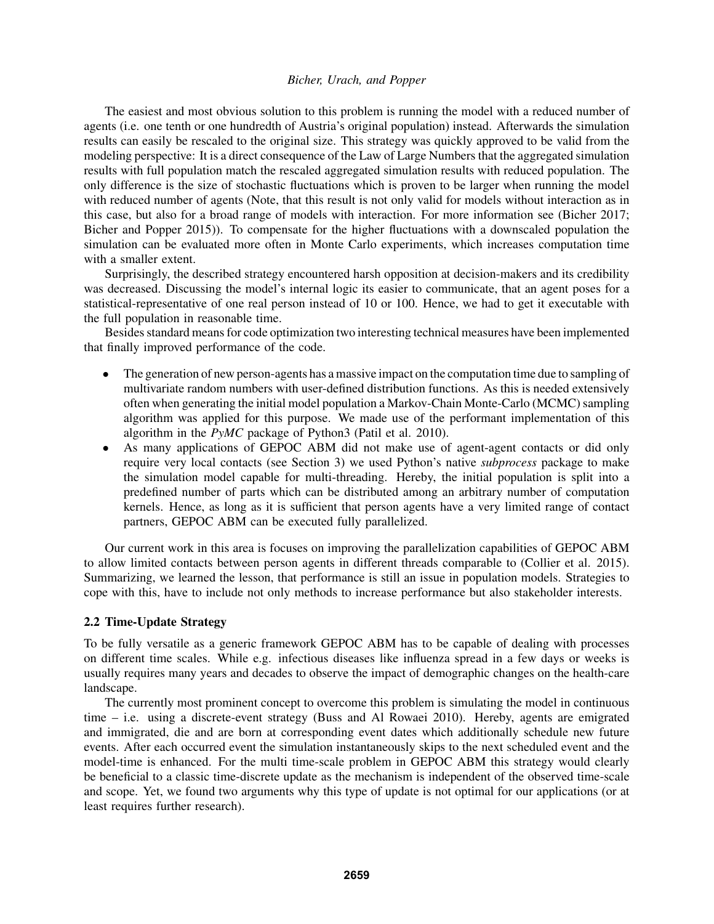The easiest and most obvious solution to this problem is running the model with a reduced number of agents (i.e. one tenth or one hundredth of Austria's original population) instead. Afterwards the simulation results can easily be rescaled to the original size. This strategy was quickly approved to be valid from the modeling perspective: It is a direct consequence of the Law of Large Numbers that the aggregated simulation results with full population match the rescaled aggregated simulation results with reduced population. The only difference is the size of stochastic fluctuations which is proven to be larger when running the model with reduced number of agents (Note, that this result is not only valid for models without interaction as in this case, but also for a broad range of models with interaction. For more information see (Bicher 2017; Bicher and Popper 2015)). To compensate for the higher fluctuations with a downscaled population the simulation can be evaluated more often in Monte Carlo experiments, which increases computation time with a smaller extent.

Surprisingly, the described strategy encountered harsh opposition at decision-makers and its credibility was decreased. Discussing the model's internal logic its easier to communicate, that an agent poses for a statistical-representative of one real person instead of 10 or 100. Hence, we had to get it executable with the full population in reasonable time.

Besides standard means for code optimization two interesting technical measures have been implemented that finally improved performance of the code.

- The generation of new person-agents has a massive impact on the computation time due to sampling of multivariate random numbers with user-defined distribution functions. As this is needed extensively often when generating the initial model population a Markov-Chain Monte-Carlo (MCMC) sampling algorithm was applied for this purpose. We made use of the performant implementation of this algorithm in the *PyMC* package of Python3 (Patil et al. 2010).
- As many applications of GEPOC ABM did not make use of agent-agent contacts or did only require very local contacts (see Section 3) we used Python's native *subprocess* package to make the simulation model capable for multi-threading. Hereby, the initial population is split into a predefined number of parts which can be distributed among an arbitrary number of computation kernels. Hence, as long as it is sufficient that person agents have a very limited range of contact partners, GEPOC ABM can be executed fully parallelized.

Our current work in this area is focuses on improving the parallelization capabilities of GEPOC ABM to allow limited contacts between person agents in different threads comparable to (Collier et al. 2015). Summarizing, we learned the lesson, that performance is still an issue in population models. Strategies to cope with this, have to include not only methods to increase performance but also stakeholder interests.

#### 2.2 Time-Update Strategy

To be fully versatile as a generic framework GEPOC ABM has to be capable of dealing with processes on different time scales. While e.g. infectious diseases like influenza spread in a few days or weeks is usually requires many years and decades to observe the impact of demographic changes on the health-care landscape.

The currently most prominent concept to overcome this problem is simulating the model in continuous time – i.e. using a discrete-event strategy (Buss and Al Rowaei 2010). Hereby, agents are emigrated and immigrated, die and are born at corresponding event dates which additionally schedule new future events. After each occurred event the simulation instantaneously skips to the next scheduled event and the model-time is enhanced. For the multi time-scale problem in GEPOC ABM this strategy would clearly be beneficial to a classic time-discrete update as the mechanism is independent of the observed time-scale and scope. Yet, we found two arguments why this type of update is not optimal for our applications (or at least requires further research).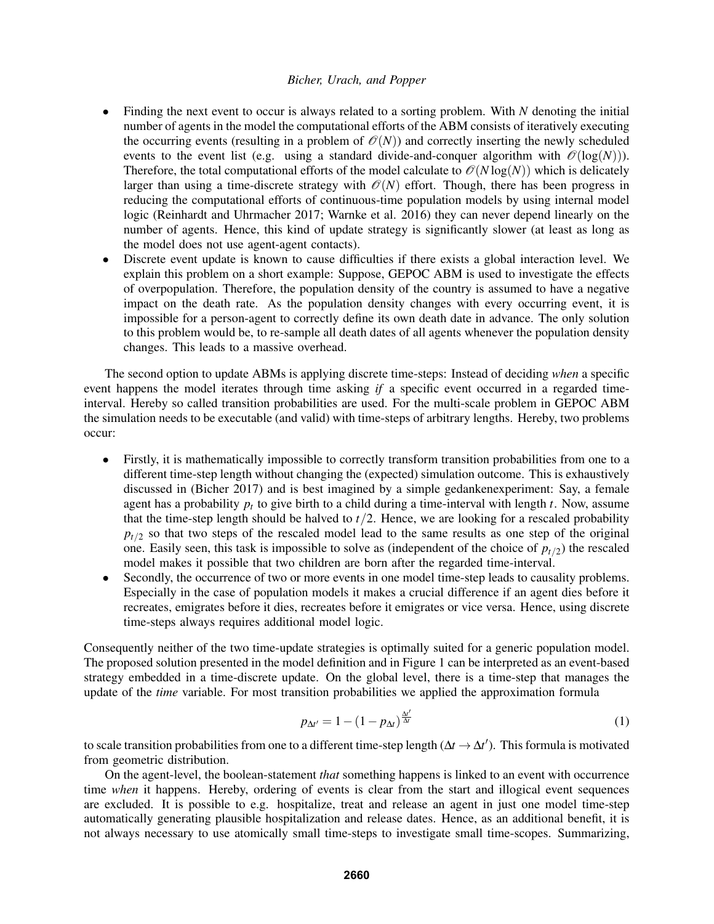- Finding the next event to occur is always related to a sorting problem. With *N* denoting the initial number of agents in the model the computational efforts of the ABM consists of iteratively executing the occurring events (resulting in a problem of  $\mathcal{O}(N)$ ) and correctly inserting the newly scheduled events to the event list (e.g. using a standard divide-and-conquer algorithm with  $\mathcal{O}(\log(N))$ ). Therefore, the total computational efforts of the model calculate to  $\mathcal{O}(N \log(N))$  which is delicately larger than using a time-discrete strategy with  $\mathcal{O}(N)$  effort. Though, there has been progress in reducing the computational efforts of continuous-time population models by using internal model logic (Reinhardt and Uhrmacher 2017; Warnke et al. 2016) they can never depend linearly on the number of agents. Hence, this kind of update strategy is significantly slower (at least as long as the model does not use agent-agent contacts).
- Discrete event update is known to cause difficulties if there exists a global interaction level. We explain this problem on a short example: Suppose, GEPOC ABM is used to investigate the effects of overpopulation. Therefore, the population density of the country is assumed to have a negative impact on the death rate. As the population density changes with every occurring event, it is impossible for a person-agent to correctly define its own death date in advance. The only solution to this problem would be, to re-sample all death dates of all agents whenever the population density changes. This leads to a massive overhead.

The second option to update ABMs is applying discrete time-steps: Instead of deciding *when* a specific event happens the model iterates through time asking *if* a specific event occurred in a regarded timeinterval. Hereby so called transition probabilities are used. For the multi-scale problem in GEPOC ABM the simulation needs to be executable (and valid) with time-steps of arbitrary lengths. Hereby, two problems occur:

- Firstly, it is mathematically impossible to correctly transform transition probabilities from one to a different time-step length without changing the (expected) simulation outcome. This is exhaustively discussed in (Bicher 2017) and is best imagined by a simple gedankenexperiment: Say, a female agent has a probability  $p_t$  to give birth to a child during a time-interval with length  $t$ . Now, assume that the time-step length should be halved to *t*/2. Hence, we are looking for a rescaled probability  $p_{t/2}$  so that two steps of the rescaled model lead to the same results as one step of the original one. Easily seen, this task is impossible to solve as (independent of the choice of  $p_{t/2}$ ) the rescaled model makes it possible that two children are born after the regarded time-interval.
- Secondly, the occurrence of two or more events in one model time-step leads to causality problems. Especially in the case of population models it makes a crucial difference if an agent dies before it recreates, emigrates before it dies, recreates before it emigrates or vice versa. Hence, using discrete time-steps always requires additional model logic.

Consequently neither of the two time-update strategies is optimally suited for a generic population model. The proposed solution presented in the model definition and in Figure 1 can be interpreted as an event-based strategy embedded in a time-discrete update. On the global level, there is a time-step that manages the update of the *time* variable. For most transition probabilities we applied the approximation formula

$$
p_{\Delta t'} = 1 - (1 - p_{\Delta t})^{\frac{\Delta t'}{\Delta t}} \tag{1}
$$

to scale transition probabilities from one to a different time-step length ( $\Delta t \to \Delta t'$ ). This formula is motivated from geometric distribution.

On the agent-level, the boolean-statement *that* something happens is linked to an event with occurrence time *when* it happens. Hereby, ordering of events is clear from the start and illogical event sequences are excluded. It is possible to e.g. hospitalize, treat and release an agent in just one model time-step automatically generating plausible hospitalization and release dates. Hence, as an additional benefit, it is not always necessary to use atomically small time-steps to investigate small time-scopes. Summarizing,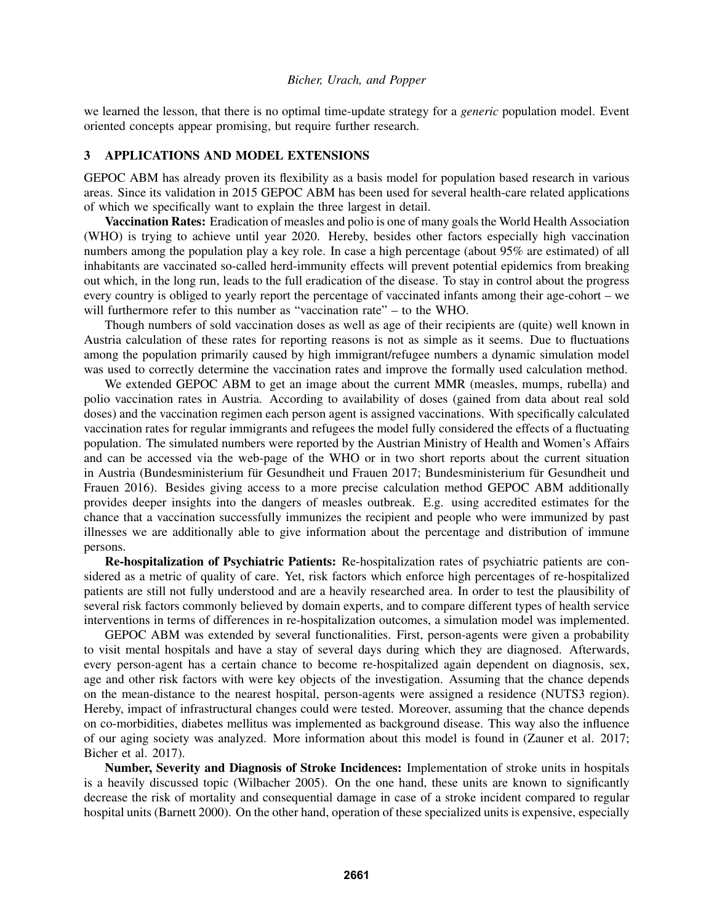we learned the lesson, that there is no optimal time-update strategy for a *generic* population model. Event oriented concepts appear promising, but require further research.

## 3 APPLICATIONS AND MODEL EXTENSIONS

GEPOC ABM has already proven its flexibility as a basis model for population based research in various areas. Since its validation in 2015 GEPOC ABM has been used for several health-care related applications of which we specifically want to explain the three largest in detail.

Vaccination Rates: Eradication of measles and polio is one of many goals the World Health Association (WHO) is trying to achieve until year 2020. Hereby, besides other factors especially high vaccination numbers among the population play a key role. In case a high percentage (about 95% are estimated) of all inhabitants are vaccinated so-called herd-immunity effects will prevent potential epidemics from breaking out which, in the long run, leads to the full eradication of the disease. To stay in control about the progress every country is obliged to yearly report the percentage of vaccinated infants among their age-cohort – we will furthermore refer to this number as "vaccination rate" – to the WHO.

Though numbers of sold vaccination doses as well as age of their recipients are (quite) well known in Austria calculation of these rates for reporting reasons is not as simple as it seems. Due to fluctuations among the population primarily caused by high immigrant/refugee numbers a dynamic simulation model was used to correctly determine the vaccination rates and improve the formally used calculation method.

We extended GEPOC ABM to get an image about the current MMR (measles, mumps, rubella) and polio vaccination rates in Austria. According to availability of doses (gained from data about real sold doses) and the vaccination regimen each person agent is assigned vaccinations. With specifically calculated vaccination rates for regular immigrants and refugees the model fully considered the effects of a fluctuating population. The simulated numbers were reported by the Austrian Ministry of Health and Women's Affairs and can be accessed via the web-page of the WHO or in two short reports about the current situation in Austria (Bundesministerium für Gesundheit und Frauen 2017; Bundesministerium für Gesundheit und Frauen 2016). Besides giving access to a more precise calculation method GEPOC ABM additionally provides deeper insights into the dangers of measles outbreak. E.g. using accredited estimates for the chance that a vaccination successfully immunizes the recipient and people who were immunized by past illnesses we are additionally able to give information about the percentage and distribution of immune persons.

Re-hospitalization of Psychiatric Patients: Re-hospitalization rates of psychiatric patients are considered as a metric of quality of care. Yet, risk factors which enforce high percentages of re-hospitalized patients are still not fully understood and are a heavily researched area. In order to test the plausibility of several risk factors commonly believed by domain experts, and to compare different types of health service interventions in terms of differences in re-hospitalization outcomes, a simulation model was implemented.

GEPOC ABM was extended by several functionalities. First, person-agents were given a probability to visit mental hospitals and have a stay of several days during which they are diagnosed. Afterwards, every person-agent has a certain chance to become re-hospitalized again dependent on diagnosis, sex, age and other risk factors with were key objects of the investigation. Assuming that the chance depends on the mean-distance to the nearest hospital, person-agents were assigned a residence (NUTS3 region). Hereby, impact of infrastructural changes could were tested. Moreover, assuming that the chance depends on co-morbidities, diabetes mellitus was implemented as background disease. This way also the influence of our aging society was analyzed. More information about this model is found in (Zauner et al. 2017; Bicher et al. 2017).

Number, Severity and Diagnosis of Stroke Incidences: Implementation of stroke units in hospitals is a heavily discussed topic (Wilbacher 2005). On the one hand, these units are known to significantly decrease the risk of mortality and consequential damage in case of a stroke incident compared to regular hospital units (Barnett 2000). On the other hand, operation of these specialized units is expensive, especially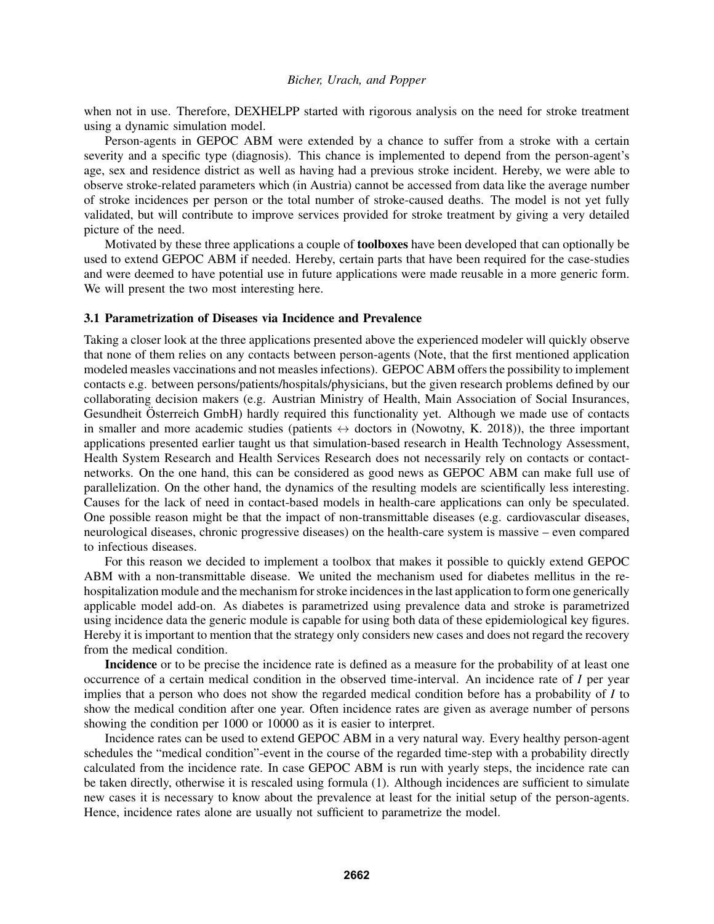when not in use. Therefore, DEXHELPP started with rigorous analysis on the need for stroke treatment using a dynamic simulation model.

Person-agents in GEPOC ABM were extended by a chance to suffer from a stroke with a certain severity and a specific type (diagnosis). This chance is implemented to depend from the person-agent's age, sex and residence district as well as having had a previous stroke incident. Hereby, we were able to observe stroke-related parameters which (in Austria) cannot be accessed from data like the average number of stroke incidences per person or the total number of stroke-caused deaths. The model is not yet fully validated, but will contribute to improve services provided for stroke treatment by giving a very detailed picture of the need.

Motivated by these three applications a couple of toolboxes have been developed that can optionally be used to extend GEPOC ABM if needed. Hereby, certain parts that have been required for the case-studies and were deemed to have potential use in future applications were made reusable in a more generic form. We will present the two most interesting here.

### 3.1 Parametrization of Diseases via Incidence and Prevalence

Taking a closer look at the three applications presented above the experienced modeler will quickly observe that none of them relies on any contacts between person-agents (Note, that the first mentioned application modeled measles vaccinations and not measles infections). GEPOC ABM offers the possibility to implement contacts e.g. between persons/patients/hospitals/physicians, but the given research problems defined by our collaborating decision makers (e.g. Austrian Ministry of Health, Main Association of Social Insurances, Gesundheit Österreich GmbH) hardly required this functionality yet. Although we made use of contacts in smaller and more academic studies (patients  $\leftrightarrow$  doctors in (Nowotny, K. 2018)), the three important applications presented earlier taught us that simulation-based research in Health Technology Assessment, Health System Research and Health Services Research does not necessarily rely on contacts or contactnetworks. On the one hand, this can be considered as good news as GEPOC ABM can make full use of parallelization. On the other hand, the dynamics of the resulting models are scientifically less interesting. Causes for the lack of need in contact-based models in health-care applications can only be speculated. One possible reason might be that the impact of non-transmittable diseases (e.g. cardiovascular diseases, neurological diseases, chronic progressive diseases) on the health-care system is massive – even compared to infectious diseases.

For this reason we decided to implement a toolbox that makes it possible to quickly extend GEPOC ABM with a non-transmittable disease. We united the mechanism used for diabetes mellitus in the rehospitalization module and the mechanism for stroke incidences in the last application to form one generically applicable model add-on. As diabetes is parametrized using prevalence data and stroke is parametrized using incidence data the generic module is capable for using both data of these epidemiological key figures. Hereby it is important to mention that the strategy only considers new cases and does not regard the recovery from the medical condition.

Incidence or to be precise the incidence rate is defined as a measure for the probability of at least one occurrence of a certain medical condition in the observed time-interval. An incidence rate of *I* per year implies that a person who does not show the regarded medical condition before has a probability of *I* to show the medical condition after one year. Often incidence rates are given as average number of persons showing the condition per 1000 or 10000 as it is easier to interpret.

Incidence rates can be used to extend GEPOC ABM in a very natural way. Every healthy person-agent schedules the "medical condition"-event in the course of the regarded time-step with a probability directly calculated from the incidence rate. In case GEPOC ABM is run with yearly steps, the incidence rate can be taken directly, otherwise it is rescaled using formula (1). Although incidences are sufficient to simulate new cases it is necessary to know about the prevalence at least for the initial setup of the person-agents. Hence, incidence rates alone are usually not sufficient to parametrize the model.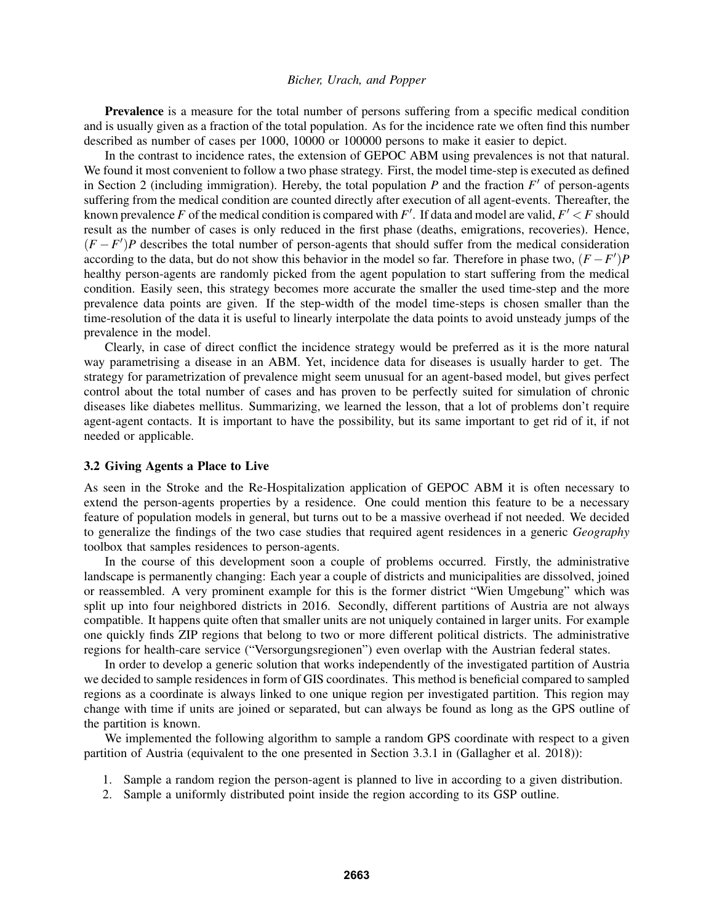Prevalence is a measure for the total number of persons suffering from a specific medical condition and is usually given as a fraction of the total population. As for the incidence rate we often find this number described as number of cases per 1000, 10000 or 100000 persons to make it easier to depict.

In the contrast to incidence rates, the extension of GEPOC ABM using prevalences is not that natural. We found it most convenient to follow a two phase strategy. First, the model time-step is executed as defined in Section 2 (including immigration). Hereby, the total population  $P$  and the fraction  $F'$  of person-agents suffering from the medical condition are counted directly after execution of all agent-events. Thereafter, the known prevalence *F* of the medical condition is compared with *F*'. If data and model are valid,  $F' < F$  should result as the number of cases is only reduced in the first phase (deaths, emigrations, recoveries). Hence,  $(F - F')P$  describes the total number of person-agents that should suffer from the medical consideration according to the data, but do not show this behavior in the model so far. Therefore in phase two,  $(F - F')P$ healthy person-agents are randomly picked from the agent population to start suffering from the medical condition. Easily seen, this strategy becomes more accurate the smaller the used time-step and the more prevalence data points are given. If the step-width of the model time-steps is chosen smaller than the time-resolution of the data it is useful to linearly interpolate the data points to avoid unsteady jumps of the prevalence in the model.

Clearly, in case of direct conflict the incidence strategy would be preferred as it is the more natural way parametrising a disease in an ABM. Yet, incidence data for diseases is usually harder to get. The strategy for parametrization of prevalence might seem unusual for an agent-based model, but gives perfect control about the total number of cases and has proven to be perfectly suited for simulation of chronic diseases like diabetes mellitus. Summarizing, we learned the lesson, that a lot of problems don't require agent-agent contacts. It is important to have the possibility, but its same important to get rid of it, if not needed or applicable.

#### 3.2 Giving Agents a Place to Live

As seen in the Stroke and the Re-Hospitalization application of GEPOC ABM it is often necessary to extend the person-agents properties by a residence. One could mention this feature to be a necessary feature of population models in general, but turns out to be a massive overhead if not needed. We decided to generalize the findings of the two case studies that required agent residences in a generic *Geography* toolbox that samples residences to person-agents.

In the course of this development soon a couple of problems occurred. Firstly, the administrative landscape is permanently changing: Each year a couple of districts and municipalities are dissolved, joined or reassembled. A very prominent example for this is the former district "Wien Umgebung" which was split up into four neighbored districts in 2016. Secondly, different partitions of Austria are not always compatible. It happens quite often that smaller units are not uniquely contained in larger units. For example one quickly finds ZIP regions that belong to two or more different political districts. The administrative regions for health-care service ("Versorgungsregionen") even overlap with the Austrian federal states.

In order to develop a generic solution that works independently of the investigated partition of Austria we decided to sample residences in form of GIS coordinates. This method is beneficial compared to sampled regions as a coordinate is always linked to one unique region per investigated partition. This region may change with time if units are joined or separated, but can always be found as long as the GPS outline of the partition is known.

We implemented the following algorithm to sample a random GPS coordinate with respect to a given partition of Austria (equivalent to the one presented in Section 3.3.1 in (Gallagher et al. 2018)):

- 1. Sample a random region the person-agent is planned to live in according to a given distribution.
- 2. Sample a uniformly distributed point inside the region according to its GSP outline.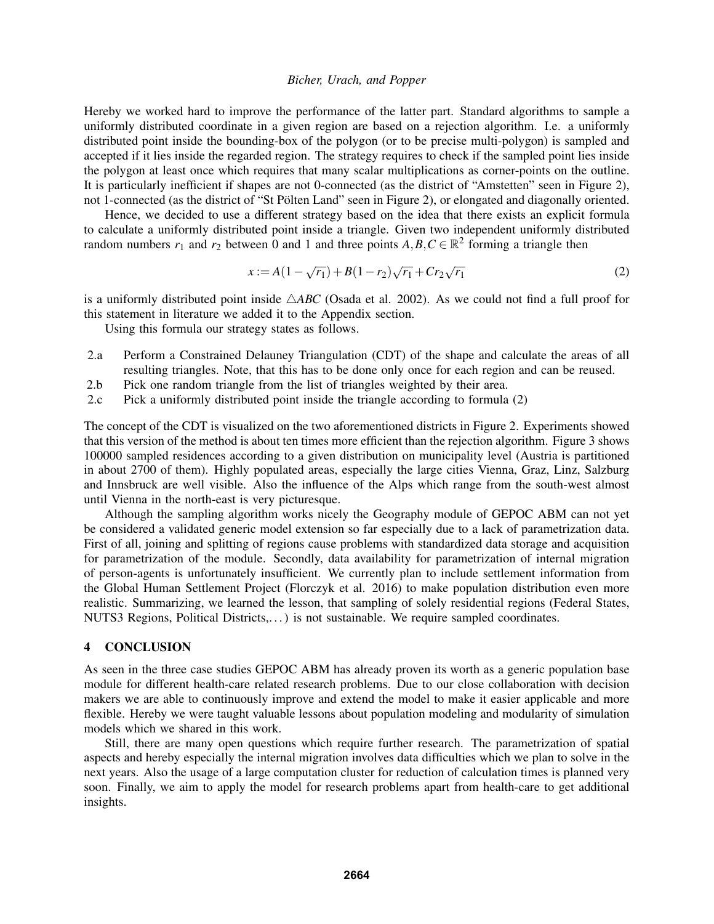Hereby we worked hard to improve the performance of the latter part. Standard algorithms to sample a uniformly distributed coordinate in a given region are based on a rejection algorithm. I.e. a uniformly distributed point inside the bounding-box of the polygon (or to be precise multi-polygon) is sampled and accepted if it lies inside the regarded region. The strategy requires to check if the sampled point lies inside the polygon at least once which requires that many scalar multiplications as corner-points on the outline. It is particularly inefficient if shapes are not 0-connected (as the district of "Amstetten" seen in Figure 2), not 1-connected (as the district of "St Pölten Land" seen in Figure 2), or elongated and diagonally oriented.

Hence, we decided to use a different strategy based on the idea that there exists an explicit formula to calculate a uniformly distributed point inside a triangle. Given two independent uniformly distributed random numbers  $r_1$  and  $r_2$  between 0 and 1 and three points  $A, B, C \in \mathbb{R}^2$  forming a triangle then

$$
x := A(1 - \sqrt{r_1}) + B(1 - r_2)\sqrt{r_1} + Cr_2\sqrt{r_1}
$$
 (2)

is a uniformly distributed point inside  $\triangle ABC$  (Osada et al. 2002). As we could not find a full proof for this statement in literature we added it to the Appendix section.

Using this formula our strategy states as follows.

- 2.a Perform a Constrained Delauney Triangulation (CDT) of the shape and calculate the areas of all resulting triangles. Note, that this has to be done only once for each region and can be reused.
- 2.b Pick one random triangle from the list of triangles weighted by their area.
- 2.c Pick a uniformly distributed point inside the triangle according to formula (2)

The concept of the CDT is visualized on the two aforementioned districts in Figure 2. Experiments showed that this version of the method is about ten times more efficient than the rejection algorithm. Figure 3 shows 100000 sampled residences according to a given distribution on municipality level (Austria is partitioned in about 2700 of them). Highly populated areas, especially the large cities Vienna, Graz, Linz, Salzburg and Innsbruck are well visible. Also the influence of the Alps which range from the south-west almost until Vienna in the north-east is very picturesque.

Although the sampling algorithm works nicely the Geography module of GEPOC ABM can not yet be considered a validated generic model extension so far especially due to a lack of parametrization data. First of all, joining and splitting of regions cause problems with standardized data storage and acquisition for parametrization of the module. Secondly, data availability for parametrization of internal migration of person-agents is unfortunately insufficient. We currently plan to include settlement information from the Global Human Settlement Project (Florczyk et al. 2016) to make population distribution even more realistic. Summarizing, we learned the lesson, that sampling of solely residential regions (Federal States, NUTS3 Regions, Political Districts,. . . ) is not sustainable. We require sampled coordinates.

## 4 CONCLUSION

As seen in the three case studies GEPOC ABM has already proven its worth as a generic population base module for different health-care related research problems. Due to our close collaboration with decision makers we are able to continuously improve and extend the model to make it easier applicable and more flexible. Hereby we were taught valuable lessons about population modeling and modularity of simulation models which we shared in this work.

Still, there are many open questions which require further research. The parametrization of spatial aspects and hereby especially the internal migration involves data difficulties which we plan to solve in the next years. Also the usage of a large computation cluster for reduction of calculation times is planned very soon. Finally, we aim to apply the model for research problems apart from health-care to get additional insights.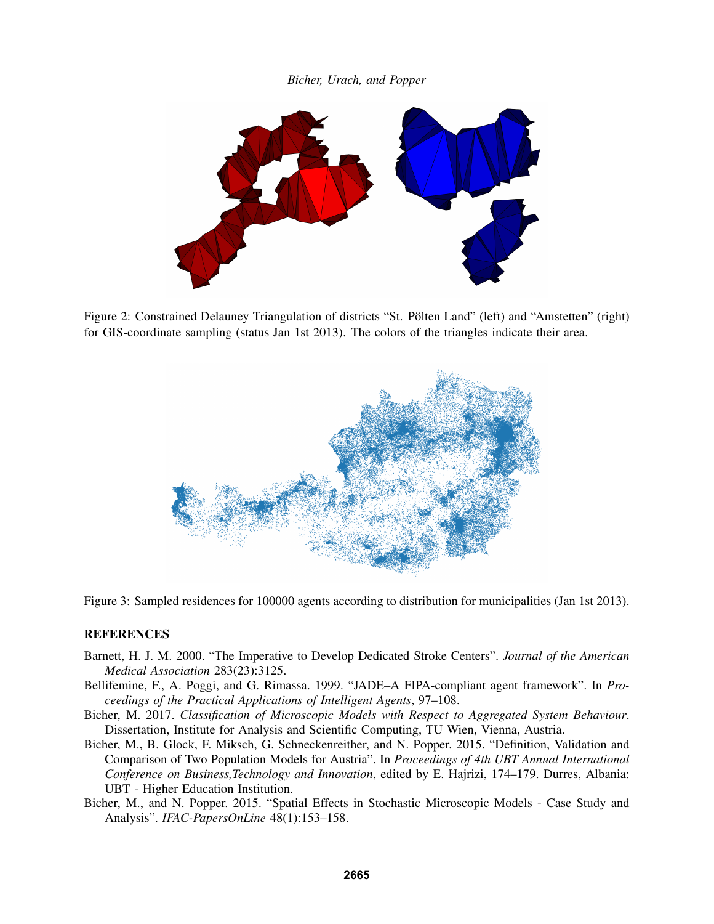

Figure 2: Constrained Delauney Triangulation of districts "St. Polten Land" (left) and "Amstetten" (right) for GIS-coordinate sampling (status Jan 1st 2013). The colors of the triangles indicate their area.



Figure 3: Sampled residences for 100000 agents according to distribution for municipalities (Jan 1st 2013).

## **REFERENCES**

- Barnett, H. J. M. 2000. "The Imperative to Develop Dedicated Stroke Centers". *Journal of the American Medical Association* 283(23):3125.
- Bellifemine, F., A. Poggi, and G. Rimassa. 1999. "JADE–A FIPA-compliant agent framework". In *Proceedings of the Practical Applications of Intelligent Agents*, 97–108.
- Bicher, M. 2017. *Classification of Microscopic Models with Respect to Aggregated System Behaviour*. Dissertation, Institute for Analysis and Scientific Computing, TU Wien, Vienna, Austria.
- Bicher, M., B. Glock, F. Miksch, G. Schneckenreither, and N. Popper. 2015. "Definition, Validation and Comparison of Two Population Models for Austria". In *Proceedings of 4th UBT Annual International Conference on Business,Technology and Innovation*, edited by E. Hajrizi, 174–179. Durres, Albania: UBT - Higher Education Institution.
- Bicher, M., and N. Popper. 2015. "Spatial Effects in Stochastic Microscopic Models Case Study and Analysis". *IFAC-PapersOnLine* 48(1):153–158.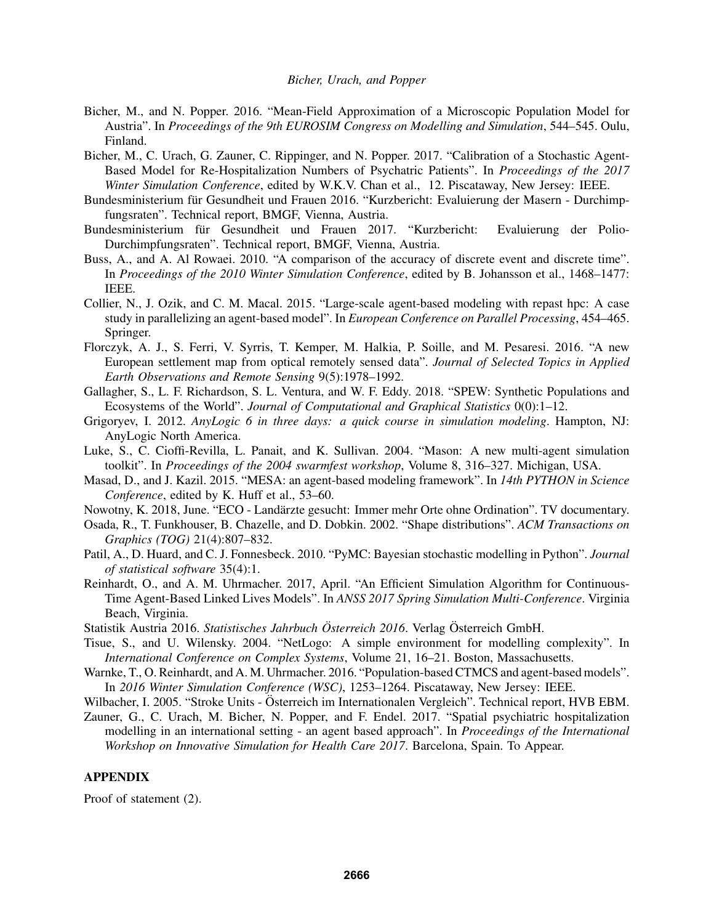- Bicher, M., and N. Popper. 2016. "Mean-Field Approximation of a Microscopic Population Model for Austria". In *Proceedings of the 9th EUROSIM Congress on Modelling and Simulation*, 544–545. Oulu, Finland.
- Bicher, M., C. Urach, G. Zauner, C. Rippinger, and N. Popper. 2017. "Calibration of a Stochastic Agent-Based Model for Re-Hospitalization Numbers of Psychatric Patients". In *Proceedings of the 2017 Winter Simulation Conference*, edited by W.K.V. Chan et al., 12. Piscataway, New Jersey: IEEE.
- Bundesministerium für Gesundheit und Frauen 2016. "Kurzbericht: Evaluierung der Masern Durchimpfungsraten". Technical report, BMGF, Vienna, Austria.
- Bundesministerium für Gesundheit und Frauen 2017. "Kurzbericht: Evaluierung der Polio-Durchimpfungsraten". Technical report, BMGF, Vienna, Austria.
- Buss, A., and A. Al Rowaei. 2010. "A comparison of the accuracy of discrete event and discrete time". In *Proceedings of the 2010 Winter Simulation Conference*, edited by B. Johansson et al., 1468–1477: IEEE.
- Collier, N., J. Ozik, and C. M. Macal. 2015. "Large-scale agent-based modeling with repast hpc: A case study in parallelizing an agent-based model". In *European Conference on Parallel Processing*, 454–465. Springer.
- Florczyk, A. J., S. Ferri, V. Syrris, T. Kemper, M. Halkia, P. Soille, and M. Pesaresi. 2016. "A new European settlement map from optical remotely sensed data". *Journal of Selected Topics in Applied Earth Observations and Remote Sensing* 9(5):1978–1992.
- Gallagher, S., L. F. Richardson, S. L. Ventura, and W. F. Eddy. 2018. "SPEW: Synthetic Populations and Ecosystems of the World". *Journal of Computational and Graphical Statistics* 0(0):1–12.
- Grigoryev, I. 2012. *AnyLogic 6 in three days: a quick course in simulation modeling*. Hampton, NJ: AnyLogic North America.
- Luke, S., C. Cioffi-Revilla, L. Panait, and K. Sullivan. 2004. "Mason: A new multi-agent simulation toolkit". In *Proceedings of the 2004 swarmfest workshop*, Volume 8, 316–327. Michigan, USA.
- Masad, D., and J. Kazil. 2015. "MESA: an agent-based modeling framework". In *14th PYTHON in Science Conference*, edited by K. Huff et al., 53–60.
- Nowotny, K. 2018, June. "ECO Landarzte gesucht: Immer mehr Orte ohne Ordination". TV documentary. ¨
- Osada, R., T. Funkhouser, B. Chazelle, and D. Dobkin. 2002. "Shape distributions". *ACM Transactions on Graphics (TOG)* 21(4):807–832.
- Patil, A., D. Huard, and C. J. Fonnesbeck. 2010. "PyMC: Bayesian stochastic modelling in Python". *Journal of statistical software* 35(4):1.
- Reinhardt, O., and A. M. Uhrmacher. 2017, April. "An Efficient Simulation Algorithm for Continuous-Time Agent-Based Linked Lives Models". In *ANSS 2017 Spring Simulation Multi-Conference*. Virginia Beach, Virginia.
- Statistik Austria 2016. *Statistisches Jahrbuch Osterreich 2016 ¨* . Verlag Osterreich GmbH. ¨
- Tisue, S., and U. Wilensky. 2004. "NetLogo: A simple environment for modelling complexity". In *International Conference on Complex Systems*, Volume 21, 16–21. Boston, Massachusetts.
- Warnke, T., O. Reinhardt, and A. M. Uhrmacher. 2016. "Population-based CTMCS and agent-based models". In *2016 Winter Simulation Conference (WSC)*, 1253–1264. Piscataway, New Jersey: IEEE.
- Wilbacher, I. 2005. "Stroke Units Österreich im Internationalen Vergleich". Technical report, HVB EBM.
- Zauner, G., C. Urach, M. Bicher, N. Popper, and F. Endel. 2017. "Spatial psychiatric hospitalization modelling in an international setting - an agent based approach". In *Proceedings of the International Workshop on Innovative Simulation for Health Care 2017*. Barcelona, Spain. To Appear.

# APPENDIX

Proof of statement (2).